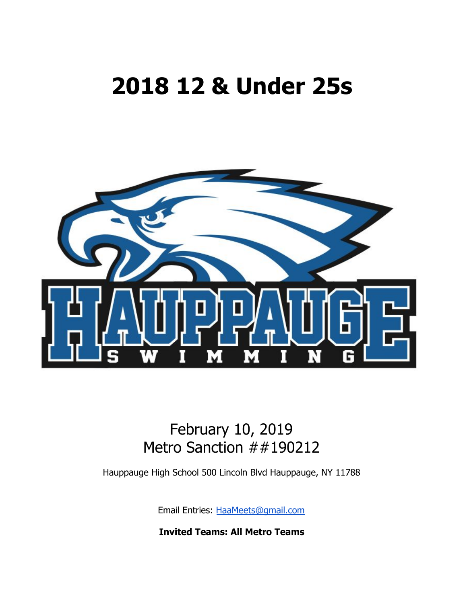# **2018 12 & Under 25s**



## February 10, 2019 Metro Sanction ##190212

Hauppauge High School 500 Lincoln Blvd Hauppauge, NY 11788

Email Entries: [HaaMeets@gmail.com](mailto:HaaMeets@gmail.com)

**Invited Teams: All Metro Teams**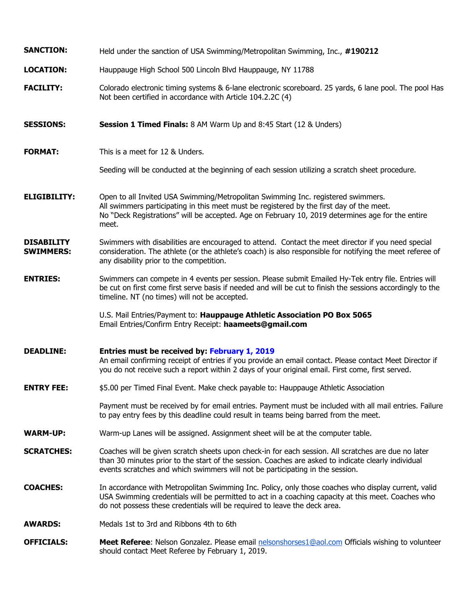| <b>SANCTION:</b>                      | Held under the sanction of USA Swimming/Metropolitan Swimming, Inc., #190212                                                                                                                                                                                                                |  |  |  |
|---------------------------------------|---------------------------------------------------------------------------------------------------------------------------------------------------------------------------------------------------------------------------------------------------------------------------------------------|--|--|--|
| <b>LOCATION:</b>                      | Hauppauge High School 500 Lincoln Blvd Hauppauge, NY 11788                                                                                                                                                                                                                                  |  |  |  |
| <b>FACILITY:</b>                      | Colorado electronic timing systems & 6-lane electronic scoreboard. 25 yards, 6 lane pool. The pool Has<br>Not been certified in accordance with Article 104.2.2C (4)                                                                                                                        |  |  |  |
| <b>SESSIONS:</b>                      | <b>Session 1 Timed Finals:</b> 8 AM Warm Up and 8:45 Start (12 & Unders)                                                                                                                                                                                                                    |  |  |  |
| <b>FORMAT:</b>                        | This is a meet for 12 & Unders.                                                                                                                                                                                                                                                             |  |  |  |
|                                       | Seeding will be conducted at the beginning of each session utilizing a scratch sheet procedure.                                                                                                                                                                                             |  |  |  |
| <b>ELIGIBILITY:</b>                   | Open to all Invited USA Swimming/Metropolitan Swimming Inc. registered swimmers.<br>All swimmers participating in this meet must be registered by the first day of the meet.<br>No "Deck Registrations" will be accepted. Age on February 10, 2019 determines age for the entire<br>meet.   |  |  |  |
| <b>DISABILITY</b><br><b>SWIMMERS:</b> | Swimmers with disabilities are encouraged to attend. Contact the meet director if you need special<br>consideration. The athlete (or the athlete's coach) is also responsible for notifying the meet referee of<br>any disability prior to the competition.                                 |  |  |  |
| <b>ENTRIES:</b>                       | Swimmers can compete in 4 events per session. Please submit Emailed Hy-Tek entry file. Entries will<br>be cut on first come first serve basis if needed and will be cut to finish the sessions accordingly to the<br>timeline. NT (no times) will not be accepted.                          |  |  |  |
|                                       | U.S. Mail Entries/Payment to: Hauppauge Athletic Association PO Box 5065<br>Email Entries/Confirm Entry Receipt: haameets@gmail.com                                                                                                                                                         |  |  |  |
| <b>DEADLINE:</b>                      | Entries must be received by: February 1, 2019<br>An email confirming receipt of entries if you provide an email contact. Please contact Meet Director if<br>you do not receive such a report within 2 days of your original email. First come, first served.                                |  |  |  |
| <b>ENTRY FEE:</b>                     | \$5.00 per Timed Final Event. Make check payable to: Hauppauge Athletic Association                                                                                                                                                                                                         |  |  |  |
|                                       | Payment must be received by for email entries. Payment must be included with all mail entries. Failure<br>to pay entry fees by this deadline could result in teams being barred from the meet.                                                                                              |  |  |  |
| <b>WARM-UP:</b>                       | Warm-up Lanes will be assigned. Assignment sheet will be at the computer table.                                                                                                                                                                                                             |  |  |  |
| <b>SCRATCHES:</b>                     | Coaches will be given scratch sheets upon check-in for each session. All scratches are due no later<br>than 30 minutes prior to the start of the session. Coaches are asked to indicate clearly individual<br>events scratches and which swimmers will not be participating in the session. |  |  |  |
| <b>COACHES:</b>                       | In accordance with Metropolitan Swimming Inc. Policy, only those coaches who display current, valid<br>USA Swimming credentials will be permitted to act in a coaching capacity at this meet. Coaches who<br>do not possess these credentials will be required to leave the deck area.      |  |  |  |
| <b>AWARDS:</b>                        | Medals 1st to 3rd and Ribbons 4th to 6th                                                                                                                                                                                                                                                    |  |  |  |
| <b>OFFICIALS:</b>                     | Meet Referee: Nelson Gonzalez. Please email nelsonshorses1@aol.com Officials wishing to volunteer<br>should contact Meet Referee by February 1, 2019.                                                                                                                                       |  |  |  |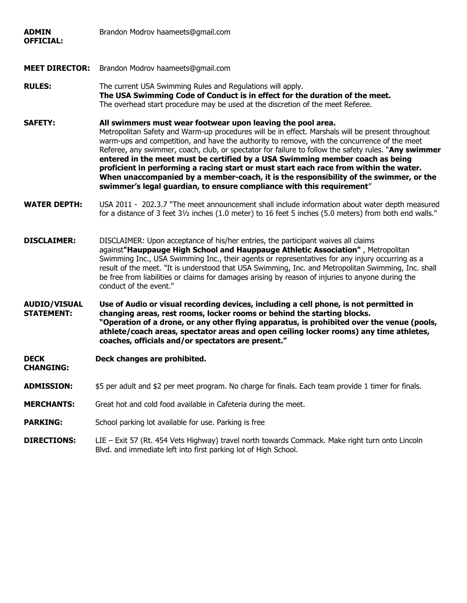| <b>ADMIN</b><br><b>OFFICIAL:</b>         | Brandon Modrov haameets@gmail.com                                                                                                                                                                                                                                                                                                                                                                                                                                                                                                                                                                                                                                                                                     |  |  |  |
|------------------------------------------|-----------------------------------------------------------------------------------------------------------------------------------------------------------------------------------------------------------------------------------------------------------------------------------------------------------------------------------------------------------------------------------------------------------------------------------------------------------------------------------------------------------------------------------------------------------------------------------------------------------------------------------------------------------------------------------------------------------------------|--|--|--|
| <b>MEET DIRECTOR:</b>                    | Brandon Modrov haameets@gmail.com                                                                                                                                                                                                                                                                                                                                                                                                                                                                                                                                                                                                                                                                                     |  |  |  |
| <b>RULES:</b>                            | The current USA Swimming Rules and Regulations will apply.<br>The USA Swimming Code of Conduct is in effect for the duration of the meet.<br>The overhead start procedure may be used at the discretion of the meet Referee.                                                                                                                                                                                                                                                                                                                                                                                                                                                                                          |  |  |  |
| <b>SAFETY:</b>                           | All swimmers must wear footwear upon leaving the pool area.<br>Metropolitan Safety and Warm-up procedures will be in effect. Marshals will be present throughout<br>warm-ups and competition, and have the authority to remove, with the concurrence of the meet<br>Referee, any swimmer, coach, club, or spectator for failure to follow the safety rules. "Any swimmer<br>entered in the meet must be certified by a USA Swimming member coach as being<br>proficient in performing a racing start or must start each race from within the water.<br>When unaccompanied by a member-coach, it is the responsibility of the swimmer, or the<br>swimmer's legal guardian, to ensure compliance with this requirement" |  |  |  |
| <b>WATER DEPTH:</b>                      | USA 2011 - 202.3.7 "The meet announcement shall include information about water depth measured<br>for a distance of 3 feet 31/2 inches (1.0 meter) to 16 feet 5 inches (5.0 meters) from both end walls."                                                                                                                                                                                                                                                                                                                                                                                                                                                                                                             |  |  |  |
| <b>DISCLAIMER:</b>                       | DISCLAIMER: Upon acceptance of his/her entries, the participant waives all claims<br>against"Hauppauge High School and Hauppauge Athletic Association", Metropolitan<br>Swimming Inc., USA Swimming Inc., their agents or representatives for any injury occurring as a<br>result of the meet. "It is understood that USA Swimming, Inc. and Metropolitan Swimming, Inc. shall<br>be free from liabilities or claims for damages arising by reason of injuries to anyone during the<br>conduct of the event."                                                                                                                                                                                                         |  |  |  |
| <b>AUDIO/VISUAL</b><br><b>STATEMENT:</b> | Use of Audio or visual recording devices, including a cell phone, is not permitted in<br>changing areas, rest rooms, locker rooms or behind the starting blocks.<br>"Operation of a drone, or any other flying apparatus, is prohibited over the venue (pools,<br>athlete/coach areas, spectator areas and open ceiling locker rooms) any time athletes,<br>coaches, officials and/or spectators are present."                                                                                                                                                                                                                                                                                                        |  |  |  |
| <b>DECK</b><br><b>CHANGING:</b>          | Deck changes are prohibited.                                                                                                                                                                                                                                                                                                                                                                                                                                                                                                                                                                                                                                                                                          |  |  |  |
| <b>ADMISSION:</b>                        | \$5 per adult and \$2 per meet program. No charge for finals. Each team provide 1 timer for finals.                                                                                                                                                                                                                                                                                                                                                                                                                                                                                                                                                                                                                   |  |  |  |
| <b>MERCHANTS:</b>                        | Great hot and cold food available in Cafeteria during the meet.                                                                                                                                                                                                                                                                                                                                                                                                                                                                                                                                                                                                                                                       |  |  |  |
| <b>PARKING:</b>                          | School parking lot available for use. Parking is free                                                                                                                                                                                                                                                                                                                                                                                                                                                                                                                                                                                                                                                                 |  |  |  |
| <b>DIRECTIONS:</b>                       | LIE - Exit 57 (Rt. 454 Vets Highway) travel north towards Commack. Make right turn onto Lincoln<br>Blvd. and immediate left into first parking lot of High School.                                                                                                                                                                                                                                                                                                                                                                                                                                                                                                                                                    |  |  |  |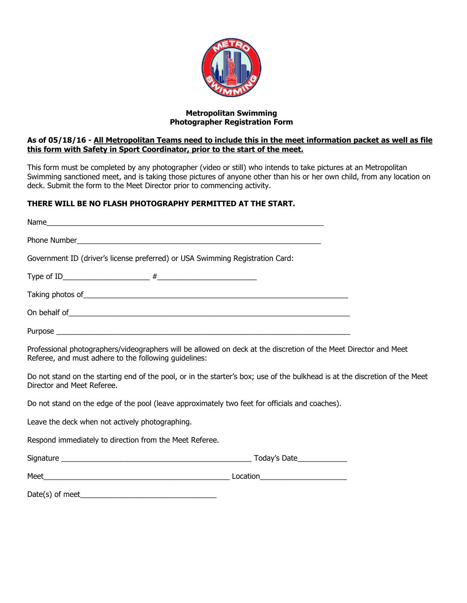

#### **Metropolitan Swimming Photographer Registration Form**

#### As of 05/18/16 - All Metropolitan Teams need to include this in the meet information packet as well as file **this form with Safety in Sport Coordinator, prior to the start of the meet.**

This form must be completed by any photographer (video or still) who intends to take pictures at an Metropolitan Swimming sanctioned meet, and is taking those pictures of anyone other than his or her own child, from any location on deck. Submit the form to the Meet Director prior to commencing activity.

#### **THERE WILL BE NO FLASH PHOTOGRAPHY PERMITTED AT THE START.**

| Phone Number <b>Manual Community</b> Contract and Community Community Community Community Community Community Community                                                                                                        |
|--------------------------------------------------------------------------------------------------------------------------------------------------------------------------------------------------------------------------------|
| Government ID (driver's license preferred) or USA Swimming Registration Card:                                                                                                                                                  |
|                                                                                                                                                                                                                                |
| Taking photos of subsequently and the set of the set of the set of the set of the set of the set of the set of the set of the set of the set of the set of the set of the set of the set of the set of the set of the set of t |
|                                                                                                                                                                                                                                |
|                                                                                                                                                                                                                                |
| Professional photographers/videographers will be allowed on deck at the discretion of the Meet Director and Meet<br>Referee, and must adhere to the following guidelines:                                                      |
| Do not stand on the starting end of the pool, or in the starter's box; use of the bulkhead is at the discretion of the Meet<br>Director and Meet Referee.                                                                      |
| Do not stand on the edge of the pool (leave approximately two feet for officials and coaches).                                                                                                                                 |
| Leave the deck when not actively photographing.                                                                                                                                                                                |
| Respond immediately to direction from the Meet Referee.                                                                                                                                                                        |

Signature \_\_\_\_\_\_\_\_\_\_\_\_\_\_\_\_\_\_\_\_\_\_\_\_\_\_\_\_\_\_\_\_\_\_\_\_\_\_\_\_\_\_\_\_\_\_ Today's Date\_\_\_\_\_\_\_\_\_\_\_\_

Meet\_\_\_\_\_\_\_\_\_\_\_\_\_\_\_\_\_\_\_\_\_\_\_\_\_\_\_\_\_\_\_\_\_\_\_\_\_\_\_\_\_\_\_\_\_ Location\_\_\_\_\_\_\_\_\_\_\_\_\_\_\_\_\_\_\_\_\_

| Date(s) of meet_ |  |  |
|------------------|--|--|
|                  |  |  |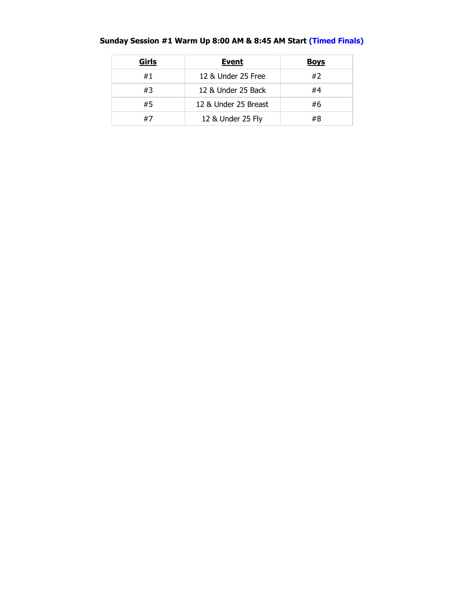| Girls | <b>Event</b>         | <b>Boys</b> |
|-------|----------------------|-------------|
| #1    | 12 & Under 25 Free   | #2          |
| #3    | 12 & Under 25 Back   | #4          |
| #5    | 12 & Under 25 Breast | #6          |
| #7    | 12 & Under 25 Fly    | #8          |

### **Sunday Session #1 Warm Up 8:00 AM & 8:45 AM Start (Timed Finals)**